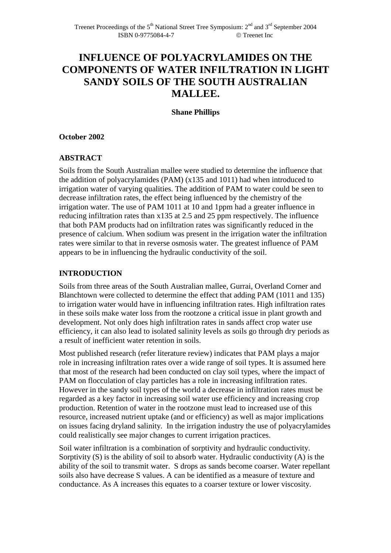# **INFLUENCE OF POLYACRYLAMIDES ON THE COMPONENTS OF WATER INFILTRATION IN LIGHT SANDY SOILS OF THE SOUTH AUSTRALIAN MALLEE.**

**Shane Phillips** 

### **October 2002**

# **ABSTRACT**

Soils from the South Australian mallee were studied to determine the influence that the addition of polyacrylamides (PAM) (x135 and 1011) had when introduced to irrigation water of varying qualities. The addition of PAM to water could be seen to decrease infiltration rates, the effect being influenced by the chemistry of the irrigation water. The use of PAM 1011 at 10 and 1ppm had a greater influence in reducing infiltration rates than x135 at 2.5 and 25 ppm respectively. The influence that both PAM products had on infiltration rates was significantly reduced in the presence of calcium. When sodium was present in the irrigation water the infiltration rates were similar to that in reverse osmosis water. The greatest influence of PAM appears to be in influencing the hydraulic conductivity of the soil.

## **INTRODUCTION**

Soils from three areas of the South Australian mallee, Gurrai, Overland Corner and Blanchtown were collected to determine the effect that adding PAM (1011 and 135) to irrigation water would have in influencing infiltration rates. High infiltration rates in these soils make water loss from the rootzone a critical issue in plant growth and development. Not only does high infiltration rates in sands affect crop water use efficiency, it can also lead to isolated salinity levels as soils go through dry periods as a result of inefficient water retention in soils.

Most published research (refer literature review) indicates that PAM plays a major role in increasing infiltration rates over a wide range of soil types. It is assumed here that most of the research had been conducted on clay soil types, where the impact of PAM on flocculation of clay particles has a role in increasing infiltration rates. However in the sandy soil types of the world a decrease in infiltration rates must be regarded as a key factor in increasing soil water use efficiency and increasing crop production. Retention of water in the rootzone must lead to increased use of this resource, increased nutrient uptake (and or efficiency) as well as major implications on issues facing dryland salinity. In the irrigation industry the use of polyacrylamides could realistically see major changes to current irrigation practices.

Soil water infiltration is a combination of sorptivity and hydraulic conductivity. Sorptivity (S) is the ability of soil to absorb water. Hydraulic conductivity (A) is the ability of the soil to transmit water. S drops as sands become coarser. Water repellant soils also have decrease S values. A can be identified as a measure of texture and conductance. As A increases this equates to a coarser texture or lower viscosity.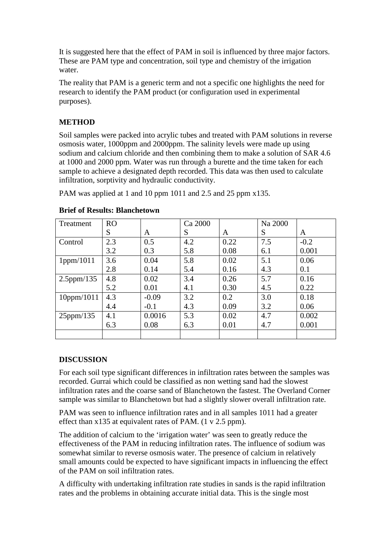It is suggested here that the effect of PAM in soil is influenced by three major factors. These are PAM type and concentration, soil type and chemistry of the irrigation water.

The reality that PAM is a generic term and not a specific one highlights the need for research to identify the PAM product (or configuration used in experimental purposes).

# **METHOD**

Soil samples were packed into acrylic tubes and treated with PAM solutions in reverse osmosis water, 1000ppm and 2000ppm. The salinity levels were made up using sodium and calcium chloride and then combining them to make a solution of SAR 4.6 at 1000 and 2000 ppm. Water was run through a burette and the time taken for each sample to achieve a designated depth recorded. This data was then used to calculate infiltration, sorptivity and hydraulic conductivity.

PAM was applied at 1 and 10 ppm 1011 and 2.5 and 25 ppm x135.

| Treatment        | <b>RO</b> |         | Ca 2000 |      | Na 2000 |        |
|------------------|-----------|---------|---------|------|---------|--------|
|                  | S         | A       | S       | A    | S       | A      |
| Control          | 2.3       | 0.5     | 4.2     | 0.22 | 7.5     | $-0.2$ |
|                  | 3.2       | 0.3     | 5.8     | 0.08 | 6.1     | 0.001  |
| 1ppm/1011        | 3.6       | 0.04    | 5.8     | 0.02 | 5.1     | 0.06   |
|                  | 2.8       | 0.14    | 5.4     | 0.16 | 4.3     | 0.1    |
| $2.5$ ppm/135    | 4.8       | 0.02    | 3.4     | 0.26 | 5.7     | 0.16   |
|                  | 5.2       | 0.01    | 4.1     | 0.30 | 4.5     | 0.22   |
| $10$ ppm/ $1011$ | 4.3       | $-0.09$ | 3.2     | 0.2  | 3.0     | 0.18   |
|                  | 4.4       | $-0.1$  | 4.3     | 0.09 | 3.2     | 0.06   |
| $25$ ppm/135     | 4.1       | 0.0016  | 5.3     | 0.02 | 4.7     | 0.002  |
|                  | 6.3       | 0.08    | 6.3     | 0.01 | 4.7     | 0.001  |
|                  |           |         |         |      |         |        |

#### **Brief of Results: Blanchetown**

#### **DISCUSSION**

For each soil type significant differences in infiltration rates between the samples was recorded. Gurrai which could be classified as non wetting sand had the slowest infiltration rates and the coarse sand of Blanchetown the fastest. The Overland Corner sample was similar to Blanchetown but had a slightly slower overall infiltration rate.

PAM was seen to influence infiltration rates and in all samples 1011 had a greater effect than x135 at equivalent rates of PAM. (1 v 2.5 ppm).

The addition of calcium to the 'irrigation water' was seen to greatly reduce the effectiveness of the PAM in reducing infiltration rates. The influence of sodium was somewhat similar to reverse osmosis water. The presence of calcium in relatively small amounts could be expected to have significant impacts in influencing the effect of the PAM on soil infiltration rates.

A difficulty with undertaking infiltration rate studies in sands is the rapid infiltration rates and the problems in obtaining accurate initial data. This is the single most